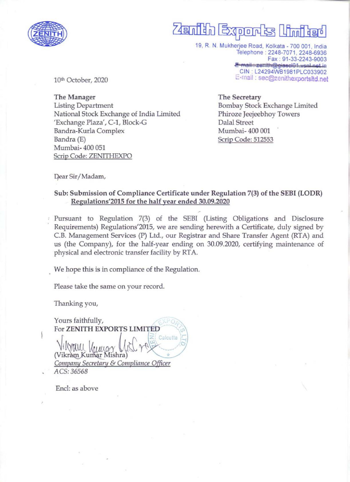

## $\overline{\phantom{a}}$ fn Exqprartss [haflad

19, R. N. Mukherjee Road, Kolkata - 700 001, India Telephone : 2248-7071, 2248-6936 Fax : 91-33-2243-9003<br><del>E-mail : zenith@giascl01.vsnl.net.i</del>n& \_CIN: L.24294WB1981PLC033902 E-mail : sec@zenithexportsltd.net

10th October, 2020

The Manager Listing Department National Stock Exchange of India Limited 'Exchange Plaza', C-1, Block-G Bandra-Kurla Complex Bandra (E) Mumbai- 400 051 Scrip Code: ZENITHEXPO

The Secretary Bombay Stock Exchange Limited Phiroze Jeejeebhoy Towers Dalal Street Mumbai- 400 001 Scrip Code: 512553

Dear Sir/Madam,

## Sub: Submission of Compliance Certificate under Regulation 7(3) of the SEBI (LODR) Regulations'2015 for the half year ended 30.09.2020

» Pursuant to Regulation 7(3) of the SEBI (Listing Obligations and Disclosure Requirements) Regulations'2015, we are sending herewith a Certificate, duly signed by C.B. Management Services (P) Ltd., our Registrar and Share Transfer Agent (RTA) and us (the Company), for the half-year ending on 30.09.2020, certifying maintenance of physical and electronic transfer facility by RTA.

We hope this is in compliance of the Regulation.

Please take the same on your record.

Thanking you,

Yours faithfully, Vilyou Vilyou Villand Light Calculla<br>(Vikram Kumar Mishra)<br>Company Secretary & Compliance Officer ACS: 36568 For ZENITH EXPORTS LIMITED ACS: 36568<br>Encl: as above

Encl: as above